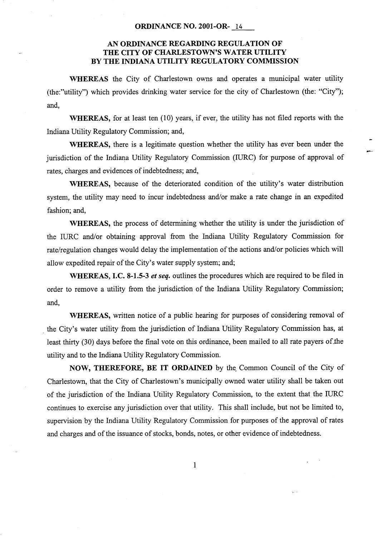## **ORDINANCE NO. 2001-OR-** *14*

## **AN ORDINANCE REGARDING REGULATION OF THE CITY OF CHARLESTOWN'S WATER UTILITY BY THE INDIANA UTILITY REGULATORY COMMISSION**

**WHEREAS** the City of Charlestown owns and operates a municipal water utility (the:"utility") which provides drinking water service for the city of Charlestown (the: "City"); and.

**WHEREAS,** for at least ten (10) years, if ever, the utility has not filed reports with the Indiana Utility Regulatory Commission; and,

**WHEREAS,** there is a legitimate question whether the utility has ever been under the jurisdiction of the Indiana Utility Regulatory Commission (IURC) for purpose of approval of rates, charges and evidences of indebtedness; and,

**WHEREAS,** because of the deteriorated condition of the utility's water distribution system, the utility may need to incur indebtedness and/or make a rate change in an expedited fashion; and,

**WHEREAS,** the process of determining whether the utility is under the jurisdiction of the IURC and/or obtaining approval from the Indiana Utility Regulatory Commission for rate/regulation changes would delay the implementation of the actions and/or policies which will allow expedited repair of the City's water supply system; and;

**WHEREAS, I.C. 8-1.5-3** *et seq.* outlines the procedures which are required to be filed in order to remove a utility from the jurisdiction of the Indiana Utility Regulatory Commission; and,

**WHEREAS,** written notice of a public hearing for purposes of considering removal of the City's water utility from the jurisdiction of Indiana Utility Regulatory Commission has, at least thirty *(30)* days before the final vote on this ordinance, been mailed to all rate payers of the utility and to the Indiana Utility Regulatory Commission.

**NOW, THEREFORE, BE IT ORDAINED** by the. Common Council of the City of Charlestown, that the City of Charlestown's municipally owned water utility shall be taken out of the jurisdiction of the Indiana Utility Regulatory Commission, to the extent that the IURC continues to exercise any jurisdiction over that utility. This shall include, but not be limited to, supervision by the Indiana Utility Regulatory Commission for purposes of the approval of rates and charges and of the issuance of stocks, bonds, notes, or other evidence of indebtedness.

1